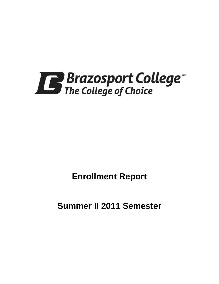

**Enrollment Report**

**Summer II 2011 Semester**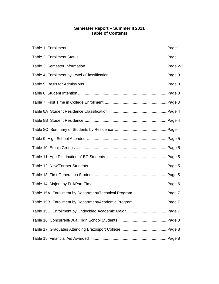# **Semester Report – Summer II 2011 Table of Contents**

| Table 15A Enrollment by Department/Technical Program Page 7 |  |
|-------------------------------------------------------------|--|
| Table 15B Enrollment by Department/Academic ProgramPage 7   |  |
|                                                             |  |
|                                                             |  |
|                                                             |  |
|                                                             |  |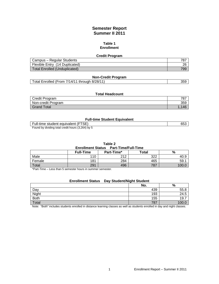# **Semester Report Summer II 2011**

#### **Table 1 Enrollment**

| <b>Credit Program</b>                |     |
|--------------------------------------|-----|
| Campus - Regular Students            | 787 |
| Flexible Entry (14 Duplicated)       | 26  |
| <b>Total Enrolled (Unduplicated)</b> | 799 |

| <b>Non-Credit Program</b>                     |  |
|-----------------------------------------------|--|
| Total Enrolled (From 7/14/11 through 8/28/11) |  |

### **Total Headcount**

| Credit Program     | 707<br>$\circ$ |
|--------------------|----------------|
| Non-credit Program | 359            |
| <b>Grand Total</b> |                |

#### **Full-time Student Equivalent**

| Full-time student equivalent (FTSE)               | 653 |
|---------------------------------------------------|-----|
| Found by dividing total credit hours (3,264) by 5 |     |

by dividing total credit hours  $(3,264)$  by

### **Table 2**

**Enrollment Status Part-Time/Full-Time**

|        | <b>Full-Time</b> | Part-Time* | <b>Total</b> | $\%$ |
|--------|------------------|------------|--------------|------|
| Male   | 110              | 212        | ר ר<br>ےےں   | 40.১ |
| Female | 181              | 284        | 465          | 59.7 |
| Total  | 291              | 496        | 787          | 100. |

\*Part-Time – Less than 5 semester hours in summer semester.

# **Enrollment Status Day Student/Night Student**

|              | No. | $\frac{9}{6}$ |
|--------------|-----|---------------|
| Day          | 439 | 55.8          |
| <b>Night</b> | 193 | ٹ.24          |
| Both         | 155 | 19.7          |
| Total        | 787 |               |

Note: "Both" includes students enrolled in distance learning classes as well as students enrolled in day and night classes.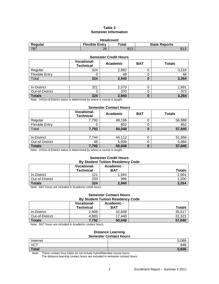# **Table 3 Semester Information**

| <b>Headcount</b> |                       |                  |                      |  |
|------------------|-----------------------|------------------|----------------------|--|
| Regular          | <b>Flexible Entry</b> | $\mathsf{Total}$ | <b>State Reports</b> |  |
| 787              | 26                    | 813              | 813                  |  |

#### **Semester Credit Hours**

|                       | <b>Vocational-</b><br><b>Technical</b> | Academic | <b>BAT</b> | <b>Totals</b> |
|-----------------------|----------------------------------------|----------|------------|---------------|
| Regular               | 324                                    | 2,892    | U          | 3,216         |
| <b>Flexible Entry</b> | U                                      | 48       | O          | 48            |
| Total                 | 324                                    | 2,940    | 0          | 3,264         |
|                       |                                        |          |            |               |
| In-District           | 321                                    | 2,570    |            | 2,891         |
| Out-of-District       | ◠<br>J                                 | 370      |            | 373           |
| <b>Totals</b>         | 324                                    | 2,940    | 0          | 3,264         |

Note: In/Out-of-District status is determined by where a course is taught.

### **Semester Contact Hours**

|                       | <b>Vocational-</b><br><b>Technical</b> | Academic | <b>BAT</b> | <b>Totals</b> |
|-----------------------|----------------------------------------|----------|------------|---------------|
| Regular               | 7,792                                  | 49,196   |            | 56,988        |
| <b>Flexible Entry</b> |                                        | 852      |            | 852           |
| Total                 | 7,792                                  | 50,048   |            | 57,840        |
|                       |                                        |          |            |               |
| In-District           | 744.                                   | 44.112   |            | 51.856        |

| <b>Totals</b>   | 7,792 | 50,048    |   | 57,840 |
|-----------------|-------|-----------|---|--------|
| Out-of-District | 48    | 5,936     | ∼ | 5.984  |
| In-District     | 744   | 110<br>44 | ∼ | .856   |

Note: In/Out-of-District status is determined by where a course is taught.

#### **Semester Credit Hours By Student Tuition Residency Code**

|                    | <b>Vocational-</b><br><b>Technical</b> | Academic -<br><b>BAT</b> | <b>Totals</b> |
|--------------------|----------------------------------------|--------------------------|---------------|
| In-District        | 121                                    | 1.944                    | 2,064         |
| Out-of-District    | 203                                    | 996                      | 1,200         |
| <b>Totals</b><br>. | 324                                    | 2,940                    | 3.264         |

Note: BAT hours are included in Academic credit hours.

### **Semester Contact Hours By Student Tuition Residency Code**

|                 | <b>Vocational-</b> | Academic - |               |  |  |
|-----------------|--------------------|------------|---------------|--|--|
|                 | Technical          | <b>BAT</b> | <b>Totals</b> |  |  |
| In-District     | 2.909              | 32,608     | 35,517        |  |  |
| Out-of-District | 4.883              | 17,440     | 22.323        |  |  |
| <b>Totals</b>   | 7,792              | 50,048     | 57,840        |  |  |

Note: BAT hours are included in Academic contact hours.

#### **Distance Learning Semester Contact Hours**

| Internet     | 5,088 |  |
|--------------|-------|--|
| VCT          | 848   |  |
| <b>Total</b> | 5,936 |  |

Note: These contact hour totals do not include hybrid/blended course hours.

The distance learning contact hours are included in semester contact hours.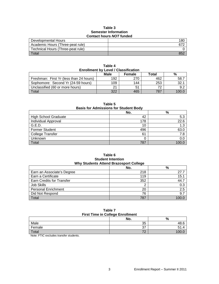# **Table 3 Semester Information Contact hours** *NOT* **funded**

| <u> Julius Hudi Jivi Hilucu</u>   |     |  |
|-----------------------------------|-----|--|
| Developmental Hours               | 18C |  |
| Academic Hours (Three-peat rule)  | 672 |  |
| Technical Hours (Three-peat rule) |     |  |
| Total                             | 852 |  |

| <b>Enrollment by Level / Classification</b> |     |     |     |       |  |
|---------------------------------------------|-----|-----|-----|-------|--|
| Male<br>%<br>Total<br><b>Female</b>         |     |     |     |       |  |
| Freshman: First Yr (less than 24 hours)     | 192 | 270 | 462 | 58.7  |  |
| Sophomore: Second Yr (24-59 hours)          | 109 | 144 | 253 | 32.1  |  |
| Unclassified (60 or more hours)             | 21  | 51  | 72  | 9.2   |  |
| Total                                       | 322 | 465 | 787 | 100.0 |  |

**Table 4**

| Table 5<br><b>Basis for Admissions for Student Body</b> |     |      |  |
|---------------------------------------------------------|-----|------|--|
|                                                         | No. | %    |  |
| <b>High School Graduate</b>                             | 42  | 5.3  |  |
| Individual Approval                                     | 178 | 22.6 |  |
| G.E.D.                                                  | 10  | 1.3  |  |
| <b>Former Student</b>                                   | 496 | 63.0 |  |
| <b>College Transfer</b>                                 | 61  | 7.8  |  |
| Unknown                                                 |     | 0.0  |  |

# **Table 6 Student Intention**<br>Mate Attend Brazosport College **Why Students Attend Brazosport College**

Total 787 100.0

| WITY SUBJECTLES ALLERING BRAZUS DOTE CONFIGUR |     |       |  |
|-----------------------------------------------|-----|-------|--|
|                                               | No. | %     |  |
| Earn an Associate's Degree                    | 218 | 27.7  |  |
| Earn a Certificate                            | 119 | 15.1  |  |
| Earn Credits for Transfer                     | 352 | 44.7  |  |
| Job Skills                                    |     | 0.3   |  |
| <b>Personal Enrichment</b>                    | 20  | 2.5   |  |
| Did Not Respond                               | 76  | 9.7   |  |
| Total                                         | 787 | 100.0 |  |

### **Table 7 First Time in College Enrollment**

|                     | No.       | %    |  |
|---------------------|-----------|------|--|
| Male                | 35        | 48.6 |  |
| Female              | 27<br>، ب | ۰. ا |  |
| Total               |           |      |  |
| . <del>.</del><br>. |           |      |  |

Note: FTIC excludes transfer students.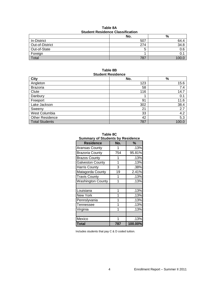| Table 8A                                |  |  |  |
|-----------------------------------------|--|--|--|
| <b>Student Residence Classification</b> |  |  |  |

|                 | No.    | %     |
|-----------------|--------|-------|
| In-District     | 507    | 64.4  |
| Out-of-District | 274    | 34.8  |
| Out-of-State    | ∽<br>ື | 0.6   |
| Foreign         |        |       |
| Total           | 787    | 100.( |

#### **Table 8B Student Residence**

| <u>oluucht Rooluchoo</u> |     |       |  |
|--------------------------|-----|-------|--|
| <b>City</b>              | No. | %     |  |
| Angleton                 | 123 | 15.6  |  |
| <b>Brazoria</b>          | 58  | 7.4   |  |
| Clute                    | 116 | 14.7  |  |
| Danbury                  |     | 0.1   |  |
| Freeport                 | 91  | 11.6  |  |
| Lake Jackson             | 302 | 38.4  |  |
| Sweeny                   | 21  | 2.7   |  |
| West Columbia            | 33  | 4.2   |  |
| <b>Other Residence</b>   | 42  | 5.3   |  |
| <b>Total Students</b>    | 787 | 100.0 |  |

| Table 8C                                |  |
|-----------------------------------------|--|
| <b>Summary of Students by Residence</b> |  |

| <b>Residence</b>         | No. | %       |
|--------------------------|-----|---------|
| <b>Aransas County</b>    | 1   | .13%    |
| <b>Brazoria County</b>   | 754 | 95.81%  |
| <b>Brazos County</b>     | 1   | .13%    |
| <b>Galveston County</b>  | 1   | .13%    |
| <b>Harris County</b>     | 3   | .38%    |
| Matagorda County         | 19  | 2.41%   |
| <b>Travis County</b>     | 1   | .13%    |
| <b>Washington County</b> | 1   | .13%    |
|                          |     |         |
| Louisiana                | 1   | .13%    |
| New York                 | 1   | .13%    |
| Pennslyvania             | 1   | .13%    |
| Tennessee                | 1   | .13%    |
| Virginia                 | 1   | .13%    |
|                          |     |         |
| Mexico                   | 1   | .13%    |
| Total                    | 787 | 100.00% |

Includes students that pay C & D coded tuition.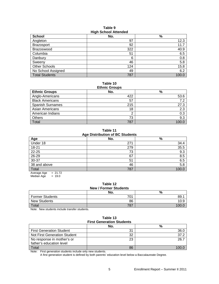#### **Table 9 High School Attended**

| <b>School</b>         | ີ<br>No. | $\%$  |
|-----------------------|----------|-------|
| Angleton              | 97       | 12.3  |
| <b>Brazosport</b>     | 92       | 11.7  |
| Brazoswood            | 322      | 40.9  |
| Columbia              | 51       | 6.5   |
| Danbury               | 6        | 0.8   |
| Sweeny                | 46       | 5.8   |
| Other Schools         | 124      | 15.8  |
| No School Assigned    | 49       | 6.2   |
| <b>Total Students</b> | 787      | 100.0 |

# **Table 10**

| <b>Ethnic Groups</b>    |     |      |  |  |  |
|-------------------------|-----|------|--|--|--|
| <b>Ethnic Groups</b>    | No. | %    |  |  |  |
| Anglo-Americans         | 422 | 53.6 |  |  |  |
| <b>Black Americans</b>  | 57  | 7.2  |  |  |  |
| <b>Spanish Surnames</b> | 215 | 27.3 |  |  |  |
| Asian Americans         | 18  | 2.3  |  |  |  |
| American Indians        |     | 0.3  |  |  |  |
| Others                  | 73  | 9.3  |  |  |  |
| Total                   | 787 |      |  |  |  |

**Table 11 Age Distribution of BC Students**

| Age                    | No. | %     |  |  |  |
|------------------------|-----|-------|--|--|--|
| Under 18               | 271 | 34.4  |  |  |  |
| 18-21                  | 279 | 35.5  |  |  |  |
| $22 - 25$              | 73  | 9.3   |  |  |  |
| $26 - 29$              | 67  | 8.5   |  |  |  |
| $30 - 37$              | 51  | 6.5   |  |  |  |
| 38 and above           | 46  | 5.8   |  |  |  |
| Total                  | 787 | 100.0 |  |  |  |
| $-2172$<br>Average Age |     |       |  |  |  |

Average Age =  $21.72$ <br>Median Age =  $19.0$ Median Age

# **Table 12 New / Former Students**

|                        | No. | %        |  |  |  |
|------------------------|-----|----------|--|--|--|
| <b>Former Students</b> | 701 | 89.      |  |  |  |
| <b>New Students</b>    | 86  | 10.9     |  |  |  |
| Total                  | 787 | 1 $\cap$ |  |  |  |

Note: New students include transfer students.

# **Table 13 First Generation Students**

|                                 | No. | %    |  |  |  |
|---------------------------------|-----|------|--|--|--|
| <b>First Generation Student</b> | 31  | 36.0 |  |  |  |
| Not First Generation Student    | 32  |      |  |  |  |
| No response in mother's or      | 23  | 26.7 |  |  |  |
| father's education level        |     |      |  |  |  |
| Total                           | 86  |      |  |  |  |

Note: First generation students include only new students.

A first generation student is defined by both parents' education level below a Baccalaureate Degree.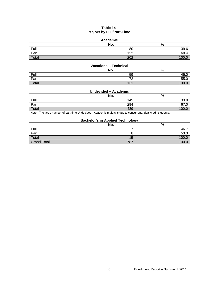# **Table 14 Majors by Full/Part-Time**

# **Academic**

|       | No.          | $\mathbf{0}$<br>70 |
|-------|--------------|--------------------|
| Full  | 80           | 39.6               |
| Part  | 122<br>1 L L | $\sim$<br>OU.      |
| Total | 202          | 100.               |

# **Vocational - Technical**

|       | No.            | %               |
|-------|----------------|-----------------|
| Full  | 59             | $1 - 2$<br>40.U |
| Part  | 70<br><u>_</u> | 55.0            |
| Total | 131            | 10 <sup>o</sup> |

# **Undecided – Academic**

|       | No. | $\mathbf{0}$<br>70 |
|-------|-----|--------------------|
| Full  | 145 | 33.0               |
| Part  | 294 | $\sim$<br>07.U     |
| Total | 439 | 100                |

Note: The large number of part-time Undecided - Academic majors is due to concurrent / dual credit students.

# **Bachelor's in Applied Technology**

|                    | No. | --<br>%    |
|--------------------|-----|------------|
| Full               |     | 46.        |
| Part               | O   | c٥<br>53.3 |
| Total              | 15  | 100.0      |
| <b>Grand Total</b> | 787 | 100.C      |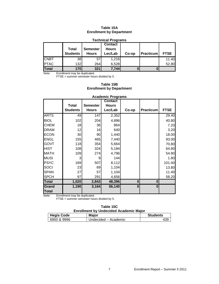# **Table 15A Enrollment by Department**

#### **Technical Programs Total Students Semester Hours Contact Hours Lec/Lab Co-op Practicum FTSE** CNBT | 38 57 1,216 | 1.40 PTAC | 132 264 6,528 | 52.80 **Total 170 321 7,744 0 0**

Note: Enrollment may be duplicated.

 $FTSE =$  summer semester hours divided by 5.

# **Table 15B Enrollment by Department**

|              |                 |                 | Avauciniu i Tugranio |       |                  |             |
|--------------|-----------------|-----------------|----------------------|-------|------------------|-------------|
|              |                 |                 | <b>Contact</b>       |       |                  |             |
|              | <b>Total</b>    | <b>Semester</b> | <b>Hours</b>         |       |                  |             |
|              | <b>Students</b> | <b>Hours</b>    | Lec/Lab              | Co-op | <b>Practicum</b> | <b>FTSE</b> |
| <b>ARTS</b>  | 49              | 147             | 2,352                |       |                  | 29.40       |
| <b>BIOL</b>  | 102             | 204             | 4,896                |       |                  | 40.80       |
| <b>CHEM</b>  | 18              | 36              | 864                  |       |                  | 7.20        |
| <b>DRAM</b>  | 12              | 16              | 640                  |       |                  | 3.20        |
| <b>ECON</b>  | 30 <sup>°</sup> | 90              | 1,440                |       |                  | 18.00       |
| <b>ENGL</b>  | 155             | 465             | 7,440                |       |                  | 93.00       |
| <b>GOVT</b>  | 118             | 354             | 5,664                |       |                  | 70.80       |
| <b>HIST</b>  | 108             | 324             | 5,184                |       |                  | 64.80       |
| <b>MATH</b>  | 109             | 274             | 4,796                |       |                  | 54.80       |
| <b>MUSI</b>  | 3               | 9               | 144                  |       |                  | 1.80        |
| <b>PSYC</b>  | 169             | 507             | 8,112                |       |                  | 101.40      |
| SOCI         | 23              | 69              | 1,104                |       |                  | 13.80       |
| <b>SPAN</b>  | 27              | 57              | 1,104                |       |                  | 11.40       |
| <b>SPCH</b>  | 97              | 291             | 4,656                |       |                  | 58.20       |
| <b>Total</b> | 1,020           | 2,843           | 48,396               | 0     | $\bf{0}$         |             |
| Grand        | 1,190           | 3,164           | 56,140               | 0     | $\bf{0}$         |             |
| <b>Total</b> |                 |                 |                      |       |                  |             |

**Academic Programs**

Note: Enrollment may be duplicated.

 $FTSE =$  summer semester hours divided by 5.

### **Table 15C Enrollment by Undecided Academic Major**

| <b>Hegis Code</b> | Maior                | <b>Students</b> |
|-------------------|----------------------|-----------------|
| 6950 & 9996       | Undecided – Academic |                 |